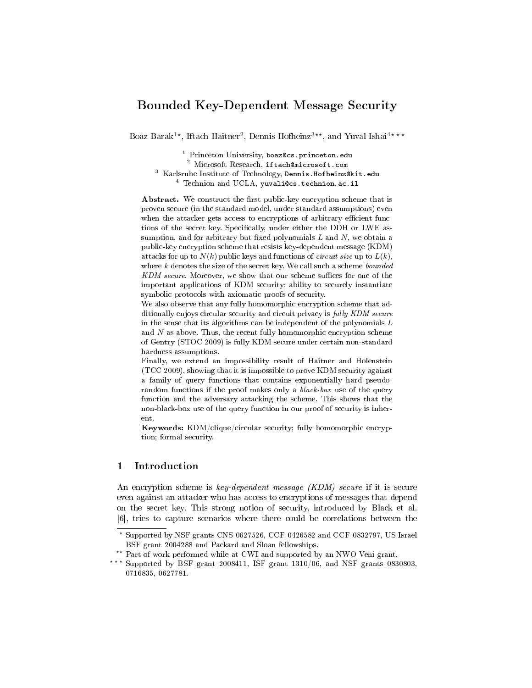# Bounded Key-Dependent Message Security

Boaz Barak $^{1\star}$ , Iftach Haitner $^2$ , Dennis Hofheinz $^{3\star\star}$ , and Yuval Ishai $^{4\star\;\star\;\star}$ 

 Princeton University, boaz@cs.princeton.edu Microsoft Research, iftach@microsoft.com Karlsruhe Institute of Technology, Dennis.Hofheinz@kit.edu Technion and UCLA, yuvali@cs.technion.ac.il

Abstract. We construct the first public-key encryption scheme that is proven secure (in the standard model, under standard assumptions) even when the attacker gets access to encryptions of arbitrary efficient functions of the secret key. Specifically, under either the DDH or LWE assumption, and for arbitrary but fixed polynomials  $L$  and  $N$ , we obtain a public-key encryption scheme that resists key-dependent message (KDM) attacks for up to  $N(k)$  public keys and functions of *circuit size* up to  $L(k)$ , where  $k$  denotes the size of the secret key. We call such a scheme bounded  $KDM$  secure. Moreover, we show that our scheme suffices for one of the important applications of KDM security: ability to securely instantiate symbolic protocols with axiomatic proofs of security.

We also observe that any fully homomorphic encryption scheme that additionally enjoys circular security and circuit privacy is fully KDM secure in the sense that its algorithms can be independent of the polynomials L and N as above. Thus, the recent fully homomorphic encryption scheme of Gentry (STOC 2009) is fully KDM secure under certain non-standard hardness assumptions.

Finally, we extend an impossibility result of Haitner and Holenstein (TCC 2009), showing that it is impossible to prove KDM security against a family of query functions that contains exponentially hard pseudorandom functions if the proof makes only a black-box use of the query function and the adversary attacking the scheme. This shows that the non-black-box use of the query function in our proof of security is inherent.

Keywords: KDM/clique/circular security; fully homomorphic encryption; formal security.

# 1 Introduction

An encryption scheme is key-dependent message (KDM) secure if it is secure even against an attacker who has access to encryptions of messages that depend on the secret key. This strong notion of security, introduced by Black et al. [6], tries to capture scenarios where there could be correlations between the

<sup>?</sup> Supported by NSF grants CNS-0627526, CCF-0426582 and CCF-0832797, US-Israel BSF grant 2004288 and Packard and Sloan fellowships.

<sup>\*\*</sup> Part of work performed while at CWI and supported by an NWO Veni grant.

<sup>\*\*\*</sup> Supported by BSF grant 2008411, ISF grant  $1310/06$ , and NSF grants 0830803, 0716835, 0627781.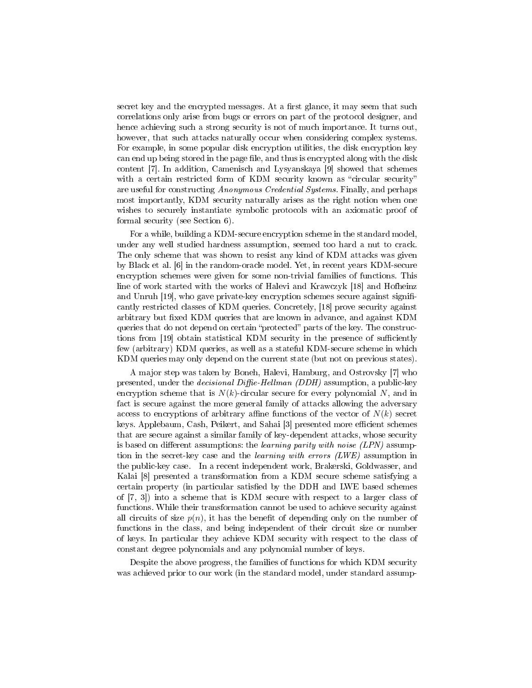secret key and the encrypted messages. At a first glance, it may seem that such correlations only arise from bugs or errors on part of the protocol designer, and hence achieving such a strong security is not of much importance. It turns out, however, that such attacks naturally occur when considering complex systems. For example, in some popular disk encryption utilities, the disk encryption key can end up being stored in the page file, and thus is encrypted along with the disk content [7]. In addition, Camenisch and Lysyanskaya [9] showed that schemes with a certain restricted form of KDM security known as "circular security" are useful for constructing Anonymous Credential Systems. Finally, and perhaps most importantly, KDM security naturally arises as the right notion when one wishes to securely instantiate symbolic protocols with an axiomatic proof of formal security (see Section 6).

For a while, building a KDM-secure encryption scheme in the standard model, under any well studied hardness assumption, seemed too hard a nut to crack. The only scheme that was shown to resist any kind of KDM attacks was given by Black et al. [6] in the random-oracle model. Yet, in recent years KDM-secure encryption schemes were given for some non-trivial families of functions. This line of work started with the works of Halevi and Krawczyk [18] and Hofheinz and Unruh [19], who gave private-key encryption schemes secure against signi cantly restricted classes of KDM queries. Concretely, [18] prove security against arbitrary but fixed KDM queries that are known in advance, and against KDM queries that do not depend on certain "protected" parts of the key. The constructions from [19] obtain statistical KDM security in the presence of sufficiently few (arbitrary) KDM queries, as well as a stateful KDM-secure scheme in which KDM queries may only depend on the current state (but not on previous states).

A major step was taken by Boneh, Halevi, Hamburg, and Ostrovsky [7] who presented, under the *decisional Diffie-Hellman (DDH)* assumption, a public-key encryption scheme that is  $N(k)$ -circular secure for every polynomial N, and in fact is secure against the more general family of attacks allowing the adversary access to encryptions of arbitrary affine functions of the vector of  $N(k)$  secret keys. Applebaum, Cash, Peikert, and Sahai [3] presented more efficient schemes that are secure against a similar family of key-dependent attacks, whose security is based on different assumptions: the *learning parity with noise (LPN)* assumption in the secret-key case and the *learning with errors (LWE)* assumption in the public-key case. In a recent independent work, Brakerski, Goldwasser, and Kalai [8] presented a transformation from a KDM secure scheme satisfying a certain property (in particular satisfied by the DDH and LWE based schemes of [7, 3]) into a scheme that is KDM secure with respect to a larger class of functions. While their transformation cannot be used to achieve security against all circuits of size  $p(n)$ , it has the benefit of depending only on the number of functions in the class, and being independent of their circuit size or number of keys. In particular they achieve KDM security with respect to the class of constant degree polynomials and any polynomial number of keys.

Despite the above progress, the families of functions for which KDM security was achieved prior to our work (in the standard model, under standard assump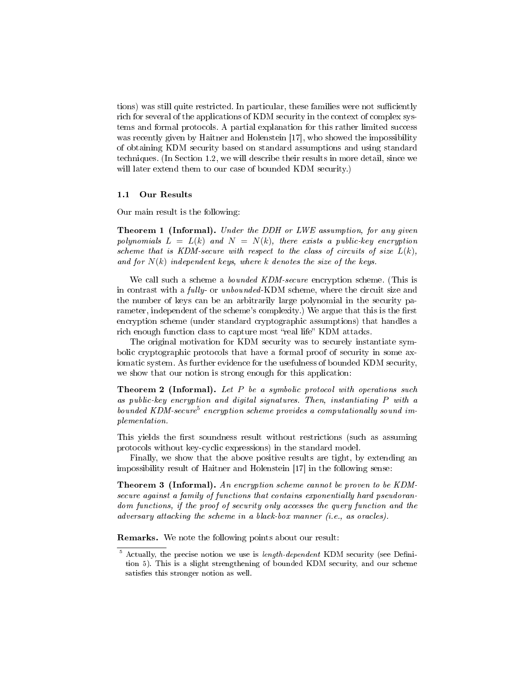tions) was still quite restricted. In particular, these families were not sufficiently rich for several of the applications of KDM security in the context of complex systems and formal protocols. A partial explanation for this rather limited success was recently given by Haitner and Holenstein [17], who showed the impossibility of obtaining KDM security based on standard assumptions and using standard techniques. (In Section 1.2, we will describe their results in more detail, since we will later extend them to our case of bounded KDM security.)

#### 1.1 Our Results

Our main result is the following:

Theorem 1 (Informal). Under the DDH or LWE assumption, for any given polynomials  $L = L(k)$  and  $N = N(k)$ , there exists a public-key encryption scheme that is KDM-secure with respect to the class of circuits of size  $L(k)$ , and for  $N(k)$  independent keys, where k denotes the size of the keys.

We call such a scheme a *bounded KDM-secure* encryption scheme. (This is in contrast with a fully- or unbounded-KDM scheme, where the circuit size and the number of keys can be an arbitrarily large polynomial in the security parameter, independent of the scheme's complexity.) We argue that this is the first encryption scheme (under standard cryptographic assumptions) that handles a rich enough function class to capture most "real life" KDM attacks.

The original motivation for KDM security was to securely instantiate symbolic cryptographic protocols that have a formal proof of security in some axiomatic system. As further evidence for the usefulness of bounded KDM security, we show that our notion is strong enough for this application:

Theorem 2 (Informal). Let P be a symbolic protocol with operations such as public-key encryption and digital signatures. Then, instantiating P with a bounded  $KDM\text{-}secure^5$  encryption scheme provides a computationally sound implementation.

This yields the first soundness result without restrictions (such as assuming protocols without key-cyclic expressions) in the standard model.

Finally, we show that the above positive results are tight, by extending an impossibility result of Haitner and Holenstein [17] in the following sense:

**Theorem 3 (Informal).** An encryption scheme cannot be proven to be KDMsecure against a family of functions that contains exponentially hard pseudorandom functions, if the proof of security only accesses the query function and the adversary attacking the scheme in a black-box manner (i.e., as oracles).

Remarks. We note the following points about our result:

 $5$  Actually, the precise notion we use is length-dependent KDM security (see Definition 5). This is a slight strengthening of bounded KDM security, and our scheme satisfies this stronger notion as well.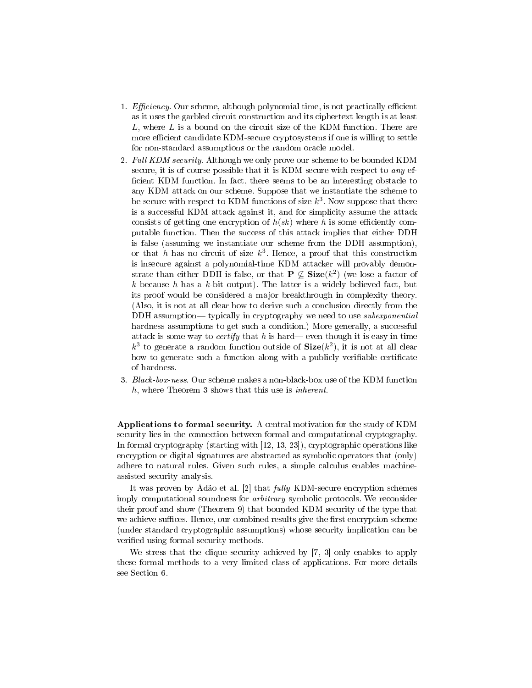- 1. *Efficiency*. Our scheme, although polynomial time, is not practically efficient as it uses the garbled circuit construction and its ciphertext length is at least  $L$ , where  $L$  is a bound on the circuit size of the KDM function. There are more efficient candidate KDM-secure cryptosystems if one is willing to settle for non-standard assumptions or the random oracle model.
- 2. Full KDM security. Although we only prove our scheme to be bounded KDM secure, it is of course possible that it is KDM secure with respect to any ef ficient KDM function. In fact, there seems to be an interesting obstacle to any KDM attack on our scheme. Suppose that we instantiate the scheme to be secure with respect to KDM functions of size  $k^3$ . Now suppose that there is a successful KDM attack against it, and for simplicity assume the attack consists of getting one encryption of  $h(sk)$  where h is some efficiently computable function. Then the success of this attack implies that either DDH is false (assuming we instantiate our scheme from the DDH assumption), or that h has no circuit of size  $k^3$ . Hence, a proof that this construction is insecure against a polynomial-time KDM attacker will provably demonstrate than either DDH is false, or that  $P \not\subseteq \text{Size}(k^2)$  (we lose a factor of k because h has a k-bit output). The latter is a widely believed fact, but its proof would be considered a major breakthrough in complexity theory. (Also, it is not at all clear how to derive such a conclusion directly from the DDH assumption—typically in cryptography we need to use *subexponential* hardness assumptions to get such a condition.) More generally, a successful attack is some way to *certify* that h is hard—even though it is easy in time  $k^3$  to generate a random function outside of  $\text{Size}(k^2)$ , it is not at all clear how to generate such a function along with a publicly verifiable certificate of hardness.
- 3. Black-box-ness. Our scheme makes a non-black-box use of the KDM function h, where Theorem 3 shows that this use is inherent.

Applications to formal security. A central motivation for the study of KDM security lies in the connection between formal and computational cryptography. In formal cryptography (starting with [12, 13, 23]), cryptographic operations like encryption or digital signatures are abstracted as symbolic operators that (only) adhere to natural rules. Given such rules, a simple calculus enables machineassisted security analysis.

It was proven by Adão et al. [2] that fully KDM-secure encryption schemes imply computational soundness for *arbitrary* symbolic protocols. We reconsider their proof and show (Theorem 9) that bounded KDM security of the type that we achieve suffices. Hence, our combined results give the first encryption scheme (under standard cryptographic assumptions) whose security implication can be verified using formal security methods.

We stress that the clique security achieved by [7, 3] only enables to apply these formal methods to a very limited class of applications. For more details see Section 6.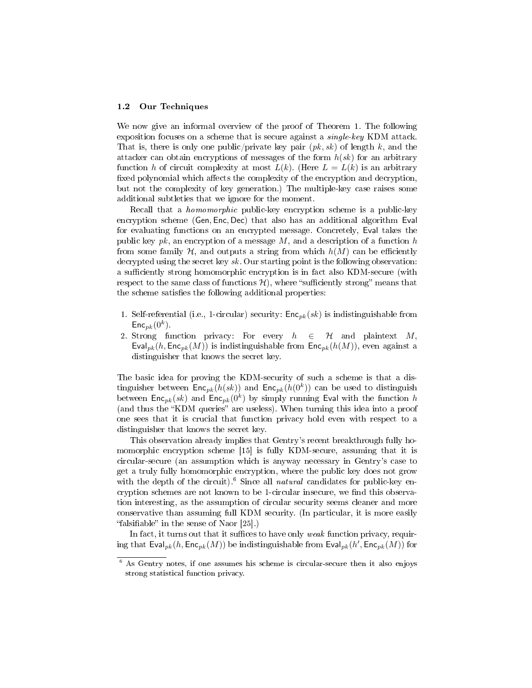### 1.2 Our Techniques

We now give an informal overview of the proof of Theorem 1. The following exposition focuses on a scheme that is secure against a single-key KDM attack. That is, there is only one public/private key pair  $(pk, sk)$  of length k, and the attacker can obtain encryptions of messages of the form  $h(sk)$  for an arbitrary function h of circuit complexity at most  $L(k)$ . (Here  $L = L(k)$  is an arbitrary fixed polynomial which affects the complexity of the encryption and decryption, but not the complexity of key generation.) The multiple-key case raises some additional subtleties that we ignore for the moment.

Recall that a homomorphic public-key encryption scheme is a public-key encryption scheme (Gen, Enc, Dec) that also has an additional algorithm Eval for evaluating functions on an encrypted message. Concretely, Eval takes the public key  $pk$ , an encryption of a message  $M$ , and a description of a function h from some family  $H$ , and outputs a string from which  $h(M)$  can be efficiently decrypted using the secret key  $sk$ . Our starting point is the following observation: a sufficiently strong homomorphic encryption is in fact also KDM-secure (with respect to the same class of functions  $H$ ), where "sufficiently strong" means that the scheme satisfies the following additional properties:

- 1. Self-referential (i.e., 1-circular) security:  $Enc_{pk}(sk)$  is indistinguishable from  $\mathsf{Enc}_{pk}(0^k)$ .
- 2. Strong function privacy: For every  $h \in \mathcal{H}$  and plaintext M,  $\mathsf{Eval}_{pk}(h, \mathsf{Enc}_{pk}(M))$  is indistinguishable from  $\mathsf{Enc}_{pk}(h(M))$ , even against a distinguisher that knows the secret key.

The basic idea for proving the KDM-security of such a scheme is that a distinguisher between  $\mathsf{Enc}_{pk}(h(sk))$  and  $\mathsf{Enc}_{pk}(h(0^k))$  can be used to distinguish between Enc<sub>pk</sub>(sk) and Enc<sub>pk</sub>(0<sup>k</sup>) by simply running Eval with the function h (and thus the "KDM queries" are useless). When turning this idea into a proof one sees that it is crucial that function privacy hold even with respect to a distinguisher that knows the secret key.

This observation already implies that Gentry's recent breakthrough fully homomorphic encryption scheme [15] is fully KDM-secure, assuming that it is circular-secure (an assumption which is anyway necessary in Gentry's case to get a truly fully homomorphic encryption, where the public key does not grow with the depth of the circuit).<sup>6</sup> Since all *natural* candidates for public-key encryption schemes are not known to be 1-circular insecure, we find this observation interesting, as the assumption of circular security seems cleaner and more conservative than assuming full KDM security. (In particular, it is more easily "falsifiable" in the sense of Naor  $[25]$ .)

In fact, it turns out that it suffices to have only *weak* function privacy, requiring that  $\mathsf{Eval}_{pk}(h, \mathsf{Enc}_{pk}(M))$  be indistinguishable from  $\mathsf{Eval}_{pk}(h', \mathsf{Enc}_{pk}(M))$  for

<sup>6</sup> As Gentry notes, if one assumes his scheme is circular-secure then it also enjoys strong statistical function privacy.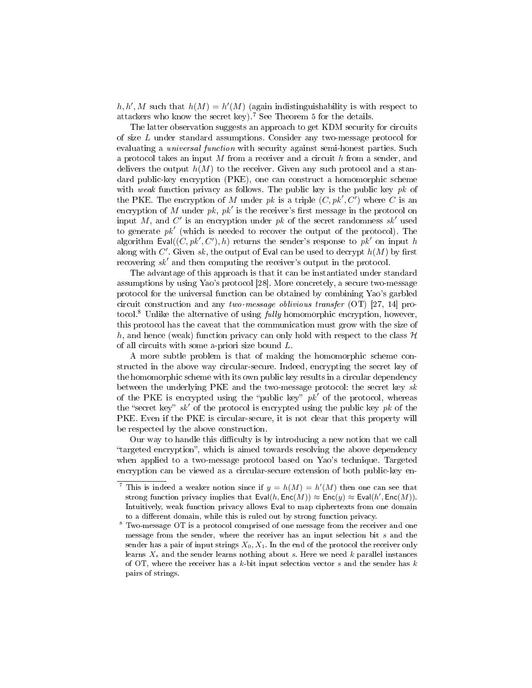$h, h', M$  such that  $h(M) = h'(M)$  (again indistinguishability is with respect to attackers who know the secret key).<sup>7</sup> See Theorem 5 for the details.

The latter observation suggests an approach to get KDM security for circuits of size L under standard assumptions. Consider any two-message protocol for evaluating a *universal function* with security against semi-honest parties. Such a protocol takes an input M from a receiver and a circuit h from a sender, and delivers the output  $h(M)$  to the receiver. Given any such protocol and a standard public-key encryption (PKE), one can construct a homomorphic scheme with weak function privacy as follows. The public key is the public key  $pk$  of the PKE. The encryption of M under  $pk$  is a triple  $(C, pk', C')$  where C is an encryption of M under  $pk$ ,  $pk'$  is the receiver's first message in the protocol on input M, and C' is an encryption under pk of the secret randomness  $sk'$  used to generate  $pk'$  (which is needed to recover the output of the protocol). The algorithm  $\mathsf{Eval}((C, pk', C'), h)$  returns the sender's response to  $pk'$  on input h along with  $C'$ . Given sk, the output of Eval can be used to decrypt  $h(M)$  by first recovering  $sk'$  and then computing the receiver's output in the protocol.

The advantage of this approach is that it can be instantiated under standard assumptions by using Yao's protocol [28]. More concretely, a secure two-message protocol for the universal function can be obtained by combining Yao's garbled circuit construction and any two-message oblivious transfer (OT) [27, 14] protocol.<sup>8</sup> Unlike the alternative of using *fully* homomorphic encryption, however, this protocol has the caveat that the communication must grow with the size of h, and hence (weak) function privacy can only hold with respect to the class  $\mathcal H$ of all circuits with some a-priori size bound L.

A more subtle problem is that of making the homomorphic scheme constructed in the above way circular-secure. Indeed, encrypting the secret key of the homomorphic scheme with its own public key results in a circular dependency between the underlying PKE and the two-message protocol: the secret key sk of the PKE is encrypted using the "public key"  $pk'$  of the protocol, whereas the "secret key"  $sk'$  of the protocol is encrypted using the public key  $pk$  of the PKE. Even if the PKE is circular-secure, it is not clear that this property will be respected by the above construction.

Our way to handle this difficulty is by introducing a new notion that we call "targeted encryption", which is aimed towards resolving the above dependency when applied to a two-message protocol based on Yao's technique. Targeted encryption can be viewed as a circular-secure extension of both public-key en-

<sup>&</sup>lt;sup>7</sup> This is indeed a weaker notion since if  $y = h(M) = h'(M)$  then one can see that strong function privacy implies that  $\textsf{Eval}(h, \textsf{Enc}(M)) \approx \textsf{Enc}(y) \approx \textsf{Eval}(h', \textsf{Enc}(M)).$ Intuitively, weak function privacy allows Eval to map ciphertexts from one domain to a different domain, while this is ruled out by strong function privacy.

<sup>8</sup> Two-message OT is a protocol comprised of one message from the receiver and one message from the sender, where the receiver has an input selection bit s and the sender has a pair of input strings  $X_0, X_1$ . In the end of the protocol the receiver only learns  $X_s$  and the sender learns nothing about s. Here we need  $k$  parallel instances of OT, where the receiver has a  $k$ -bit input selection vector  $s$  and the sender has  $k$ pairs of strings.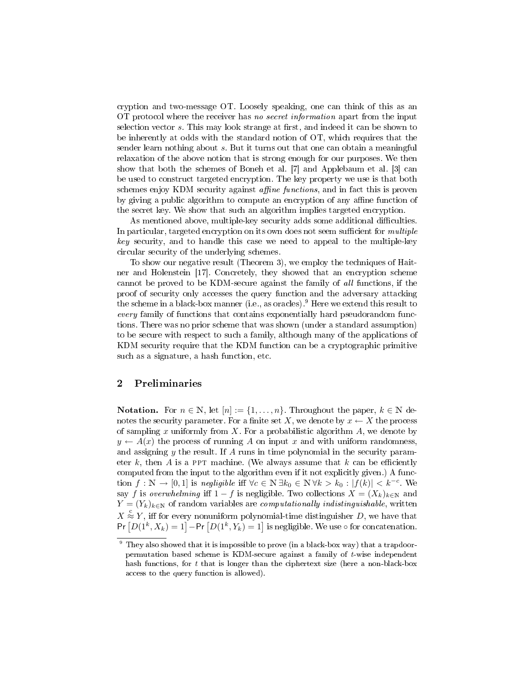cryption and two-message OT. Loosely speaking, one can think of this as an OT protocol where the receiver has no secret information apart from the input selection vector s. This may look strange at first, and indeed it can be shown to be inherently at odds with the standard notion of OT, which requires that the sender learn nothing about  $s$ . But it turns out that one can obtain a meaningful relaxation of the above notion that is strong enough for our purposes. We then show that both the schemes of Boneh et al. [7] and Applebaum et al. [3] can be used to construct targeted encryption. The key property we use is that both schemes enjoy KDM security against *affine functions*, and in fact this is proven by giving a public algorithm to compute an encryption of any affine function of the secret key. We show that such an algorithm implies targeted encryption.

As mentioned above, multiple-key security adds some additional difficulties. In particular, targeted encryption on its own does not seem sufficient for *multiple* key security, and to handle this case we need to appeal to the multiple-key circular security of the underlying schemes.

To show our negative result (Theorem 3), we employ the techniques of Haitner and Holenstein [17]. Concretely, they showed that an encryption scheme cannot be proved to be KDM-secure against the family of all functions, if the proof of security only accesses the query function and the adversary attacking the scheme in a black-box manner (i.e., as oracles).<sup>9</sup> Here we extend this result to every family of functions that contains exponentially hard pseudorandom functions. There was no prior scheme that was shown (under a standard assumption) to be secure with respect to such a family, although many of the applications of KDM security require that the KDM function can be a cryptographic primitive such as a signature, a hash function, etc.

### 2 Preliminaries

**Notation.** For  $n \in \mathbb{N}$ , let  $[n] := \{1, \ldots, n\}$ . Throughout the paper,  $k \in \mathbb{N}$  denotes the security parameter. For a finite set X, we denote by  $x \leftarrow X$  the process of sampling x uniformly from X. For a probabilistic algorithm  $A$ , we denote by  $y \leftarrow A(x)$  the process of running A on input x and with uniform randomness, and assigning  $\gamma$  the result. If A runs in time polynomial in the security parameter  $k$ , then A is a PPT machine. (We always assume that  $k$  can be efficiently computed from the input to the algorithm even if it not explicitly given.) A function  $f : \mathbb{N} \to [0,1]$  is negligible iff  $\forall c \in \mathbb{N} \exists k_0 \in \mathbb{N} \forall k > k_0 : |f(k)| < k^{-c}$ . We say f is overwhelming iff  $1 - f$  is negligible. Two collections  $X = (X_k)_{k \in \mathbb{N}}$  and  $Y = (Y_k)_{k \in \mathbb{N}}$  of random variables are *computationally indistinguishable*, written  $X \stackrel{c}{\approx} Y$ , iff for every nonuniform polynomial-time distinguisher D, we have that Pr  $[D(1^k, X_k) = 1] - Pr [D(1^k, Y_k) = 1]$  is negligible. We use  $\circ$  for concatenation.

 $9$  They also showed that it is impossible to prove (in a black-box way) that a trapdoorpermutation based scheme is KDM-secure against a family of t-wise independent hash functions, for  $t$  that is longer than the ciphertext size (here a non-black-box access to the query function is allowed).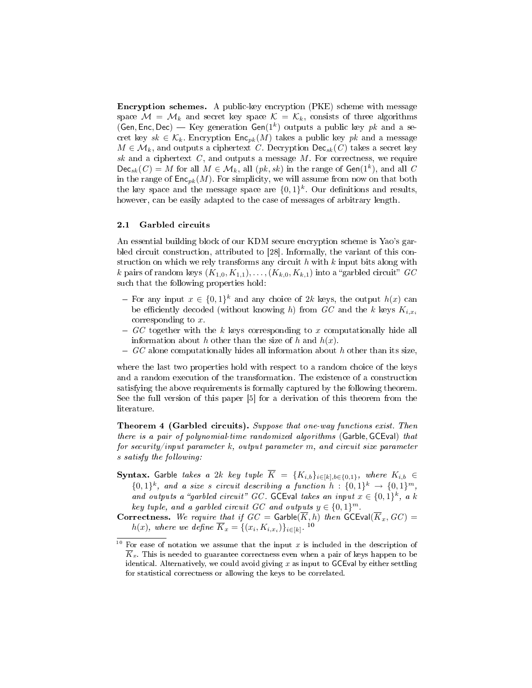Encryption schemes. A public-key encryption (PKE) scheme with message space  $\mathcal{M} = \mathcal{M}_k$  and secret key space  $\mathcal{K} = \mathcal{K}_k$ , consists of three algorithms (Gen, Enc, Dec) – Key generation Gen( $1^k$ ) outputs a public key pk and a secret key  $sk \in \mathcal{K}_k$ . Encryption  $\mathsf{Enc}_{pk}(M)$  takes a public key pk and a message  $M \in \mathcal{M}_k$ , and outputs a ciphertext C. Decryption  $\mathsf{Dec}_{sk}(C)$  takes a secret key sk and a ciphertext  $C$ , and outputs a message  $M$ . For correctness, we require  $\mathsf{Dec}_{sk}(C) = M$  for all  $M \in \mathcal{M}_k$ , all  $(pk, sk)$  in the range of  $\mathsf{Gen}(1^k)$ , and all C in the range of  $\mathsf{Enc}_{nk}(M)$ . For simplicity, we will assume from now on that both the key space and the message space are  $\{0,1\}^k$ . Our definitions and results, however, can be easily adapted to the case of messages of arbitrary length.

### 2.1 Garbled circuits

An essential building block of our KDM secure encryption scheme is Yao's garbled circuit construction, attributed to [28]. Informally, the variant of this construction on which we rely transforms any circuit  $h$  with  $k$  input bits along with k pairs of random keys  $(K_{1,0}, K_{1,1}), \ldots, (K_{k,0}, K_{k,1})$  into a "garbled circuit" GC such that the following properties hold:

- For any input  $x \in \{0,1\}^k$  and any choice of 2k keys, the output  $h(x)$  can be efficiently decoded (without knowing h) from  $GC$  and the k keys  $K_{i,x_i}$ corresponding to x.
- $-GC$  together with the k keys corresponding to x computationally hide all information about h other than the size of h and  $h(x)$ .
- $-GC$  alone computationally hides all information about h other than its size,

where the last two properties hold with respect to a random choice of the keys and a random execution of the transformation. The existence of a construction satisfying the above requirements is formally captured by the following theorem. See the full version of this paper [5] for a derivation of this theorem from the literature.

Theorem 4 (Garbled circuits). Suppose that one-way functions exist. Then there is a pair of polynomial-time randomized algorithms (Garble, GCEval) that for security/input parameter k, output parameter m, and circuit size parameter s satisfy the following:

- Syntax. Garble takes a 2k key tuple  $\overline{K} = \{K_{i,b}\}_{i \in [k], b \in \{0,1\}}$ , where  $K_{i,b} \in$  $\{0,1\}^k$ , and a size s circuit describing a function  $h: \{0,1\}^k \to \{0,1\}^m$ , and outputs a "garbled circuit" GC. GCEval takes an input  $x \in \{0,1\}^k$ , a k key tuple, and a garbled circuit GC and outputs  $y \in \{0,1\}^m$ .
- **Correctness.** We require that if  $GC =$  Garble $(\overline{K}, h)$  then  $\widehat{\mathsf{GCEval}}(\overline{K}_x, GC)$  $h(x)$ , where we define  $\overline{K}_x = \{(x_i, K_{i,x_i})\}_{i \in [k]}$ . <sup>10</sup>

<sup>&</sup>lt;sup>10</sup> For ease of notation we assume that the input x is included in the description of  $\overline{K}_{x}$ . This is needed to guarantee correctness even when a pair of keys happen to be identical. Alternatively, we could avoid giving  $x$  as input to GCEval by either settling for statistical correctness or allowing the keys to be correlated.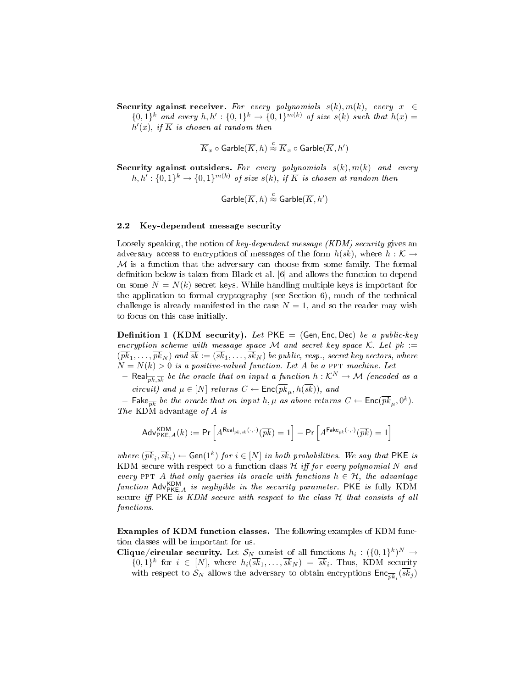Security against receiver. For every polynomials  $s(k)$ ,  $m(k)$ , every  $x \in$  $\{0,1\}^k$  and every  $h, h': \{0,1\}^k \rightarrow \{0,1\}^{m(k)}$  of size  $s(k)$  such that  $h(x) =$  $h'(x), \;{\it if}\; \overline{K} \; {\it is \; chosen \; at \; random \; then}$ 

 $\overline{K}_x \circ \mathsf{Garble}(\overline{K},h) \stackrel{\mathsf{c}}{\approx} \overline{K}_x \circ \mathsf{Garble}(\overline{K},h')$ 

Security against outsiders. For every polynomials  $s(k)$ ,  $m(k)$  and every  $h, h' : \{0,1\}^k \rightarrow \{0,1\}^{m(k)}$  of size  $s(k)$ , if  $\overline{K}$  is chosen at random then

$$
\mathsf{Garble}(\overline{K}, h) \stackrel{\text{c}}{\approx} \mathsf{Garble}(\overline{K}, h')
$$

#### 2.2 Key-dependent message security

Loosely speaking, the notion of key-dependent message (KDM) security gives an adversary access to encryptions of messages of the form  $h(sk)$ , where  $h : \mathcal{K} \rightarrow$  $M$  is a function that the adversary can choose from some family. The formal definition below is taken from Black et al. [6] and allows the function to depend on some  $N = N(k)$  secret keys. While handling multiple keys is important for the application to formal cryptography (see Section 6), much of the technical challenge is already manifested in the case  $N = 1$ , and so the reader may wish to focus on this case initially.

**Definition 1 (KDM security).** Let  $PKE = (Gen, Enc, Dec)$  be a public-key encryption scheme with message space M and secret key space K. Let  $\overline{pk}$  :=  $\left( pk_1, \ldots, pk_N \right)$  and  $sk := \left( sk_1, \ldots, sk_N \right)$  be public, resp., secret key vectors, where  $N = N(k) > 0$  is a positive-valued function. Let A be a PPT machine. Let

 $R-\mathsf{Real}_{\overline{pk},\overline{sk}}$  be the oracle that on input a function  $h:\mathcal{K}^N\rightarrow \mathcal{M}$  (encoded as a circuit) and  $\mu \in [N]$  returns  $C \leftarrow \mathsf{Enc}(pk_{\mu}, h(sk)),$  and

 $-$  Fake $_{\overline{pk}}$  be the oracle that on input h,  $\mu$  as above returns  $C \leftarrow \textsf{Enc}(\overline{pk}_{\mu}, 0^k)$ . The KDM advantage of A is

$$
\mathsf{Adv}_{\mathsf{PKE},A}^{\mathsf{KDM}}(k) := \mathsf{Pr}\left[A^{\mathsf{Real}_{\overline{pk},\overline{sk}}(\cdot,\cdot)}(\overline{pk}) = 1\right] - \mathsf{Pr}\left[A^{\mathsf{Fake}_{\overline{pk}}(\cdot,\cdot)}(\overline{pk}) = 1\right]
$$

where  $(\overline{pk}_i, \overline{sk}_i) \leftarrow \mathsf{Gen}(1^k)$  for  $i \in [N]$  in both probabilities. We say that PKE is KDM secure with respect to a function class  $\mathcal H$  iff for every polynomial N and every PPT A that only queries its oracle with functions  $h \in \mathcal{H}$ , the advantage function  $\mathsf{Adv}_{\mathsf{PKE},A}^{\mathsf{KDM}}$  is negligible in the security parameter. PKE is fully KDM secure iff PKE is KDM secure with respect to the class  $H$  that consists of all functions.

Examples of KDM function classes. The following examples of KDM function classes will be important for us.

Clique/circular security. Let  $\mathcal{S}_N$  consist of all functions  $h_i: (\{0,1\}^k)^N \to$  $\{0,1\}^k$  for  $i \in [N]$ , where  $h_i(\overline{sk}_1,\ldots,\overline{sk}_N) = \overline{sk}_i$ . Thus, KDM security

with respect to  $\mathcal{S}_N$  allows the adversary to obtain encryptions  $\mathsf{Enc}_{\overline{pk}_i}(sk_j)$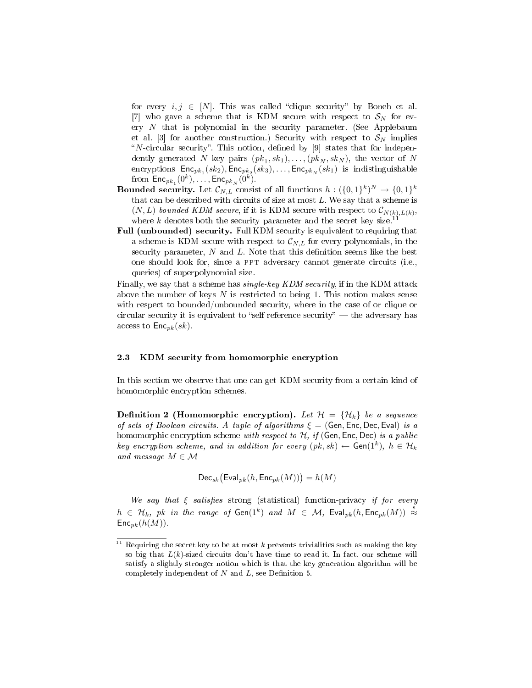for every  $i, j \in [N]$ . This was called "clique security" by Boneh et al. [7] who gave a scheme that is KDM secure with respect to  $S_N$  for every  $N$  that is polynomial in the security parameter. (See Applebaum et al. [3] for another construction.) Security with respect to  $S_N$  implies "N-circular security". This notion, defined by  $[9]$  states that for independently generated N key pairs  $(pk_1, sk_1), \ldots, (pk_N, sk_N)$ , the vector of N encryptions  $\mathsf{Enc}_{pk_1}(sk_2), \mathsf{Enc}_{pk_2}(sk_3), \ldots, \mathsf{Enc}_{pk_N}(sk_1)$  is indistinguishable from  $\mathsf{Enc}_{pk_1}(0^k), \ldots, \mathsf{Enc}_{pk_N}(0^k)$ .

- Bounded security. Let  $\mathcal{C}_{N,L}$  consist of all functions  $h: (\{0,1\}^{k})^{N} \rightarrow \{0,1\}^{k}$ that can be described with circuits of size at most  $L$ . We say that a scheme is  $(N, L)$  bounded KDM secure, if it is KDM secure with respect to  $\mathcal{C}_{N(k),L(k)},$ where  $k$  denotes both the security parameter and the secret key size.
- Full (unbounded) security. Full KDM security is equivalent to requiring that a scheme is KDM secure with respect to  $\mathcal{C}_{N,L}$  for every polynomials, in the security parameter,  $N$  and  $L$ . Note that this definition seems like the best one should look for, since a ppt adversary cannot generate circuits (i.e., queries) of superpolynomial size.

Finally, we say that a scheme has single-key KDM security, if in the KDM attack above the number of keys  $N$  is restricted to being 1. This notion makes sense with respect to bounded/unbounded security, where in the case of or clique or circular security it is equivalent to "self reference security"  $-$  the adversary has access to  $\mathsf{Enc}_{pk}(sk)$ .

#### 2.3 KDM security from homomorphic encryption

In this section we observe that one can get KDM security from a certain kind of homomorphic encryption schemes.

**Definition 2** (Homomorphic encryption). Let  $\mathcal{H} = {\mathcal{H}_k}$  be a sequence of sets of Boolean circuits. A tuple of algorithms  $\xi = (Gen, Enc, Dec,Eval)$  is a homomorphic encryption scheme with respect to  $H$ , if (Gen, Enc, Dec) is a public key encryption scheme, and in addition for every  $(\mathit{pk}, \mathit{sk}) \leftarrow \mathsf{Gen}(1^k)$ ,  $h \in \mathcal{H}_k$ and message  $M \in \mathcal{M}$ 

$$
\mathsf{Dec}_{\mathit{sk}}\big(\mathsf{Eval}_{\mathit{pk}}(h, \mathsf{Enc}_{\mathit{pk}}(M))\big) = h(M)
$$

We say that  $\xi$  satisfies strong (statistical) function-privacy if for every  $h \in \mathcal{H}_k$ , pk in the range of  $Gen(1^k)$  and  $M \in \mathcal{M}$ , Eval<sub>pk</sub> $(h, Enc_{pk}(M)) \stackrel{s}{\approx}$  $\mathsf{Enc}_{pk}(h(M)).$ 

 $11$  Requiring the secret key to be at most k prevents trivialities such as making the key so big that  $L(k)$ -sized circuits don't have time to read it. In fact, our scheme will satisfy a slightly stronger notion which is that the key generation algorithm will be completely independent of  $N$  and  $L$ , see Definition 5.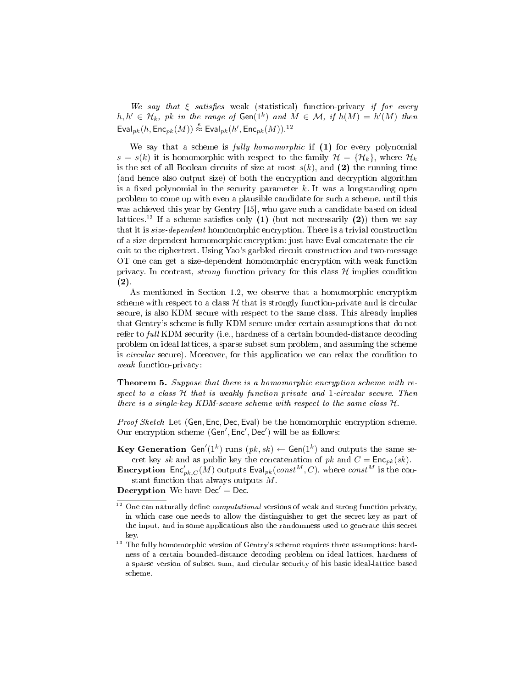We say that  $\xi$  satisfies weak (statistical) function-privacy if for every  $h, h' \in \mathcal{H}_k$ , pk in the range of  $Gen(1^k)$  and  $M \in \mathcal{M}$ , if  $h(M) = h'(M)$  then  $\mathsf{Eval}_{pk}(h, \mathsf{Enc}_{pk}(M)) \stackrel{\text{s}}{\approx} \mathsf{Eval}_{pk}(h', \mathsf{Enc}_{pk}(M))$ .<sup>12</sup>

We say that a scheme is *fully homomorphic* if (1) for every polynomial  $s = s(k)$  it is homomorphic with respect to the family  $\mathcal{H} = {\mathcal{H}_k}$ , where  $\mathcal{H}_k$ is the set of all Boolean circuits of size at most  $s(k)$ , and (2) the running time (and hence also output size) of both the encryption and decryption algorithm is a fixed polynomial in the security parameter  $k$ . It was a longstanding open problem to come up with even a plausible candidate for such a scheme, until this was achieved this year by Gentry [15], who gave such a candidate based on ideal lattices.<sup>13</sup> If a scheme satisfies only (1) (but not necessarily (2)) then we say that it is *size-dependent* homomorphic encryption. There is a trivial construction of a size dependent homomorphic encryption: just have Eval concatenate the circuit to the ciphertext. Using Yao's garbled circuit construction and two-message OT one can get a size-dependent homomorphic encryption with weak function privacy. In contrast, *strong* function privacy for this class  $H$  implies condition (2).

As mentioned in Section 1.2, we observe that a homomorphic encryption scheme with respect to a class  $H$  that is strongly function-private and is circular secure, is also KDM secure with respect to the same class. This already implies that Gentry's scheme is fully KDM secure under certain assumptions that do not refer to full KDM security (i.e., hardness of a certain bounded-distance decoding problem on ideal lattices, a sparse subset sum problem, and assuming the scheme is circular secure). Moreover, for this application we can relax the condition to weak function-privacy:

Theorem 5. Suppose that there is a homomorphic encryption scheme with respect to a class  $H$  that is weakly function private and 1-circular secure. Then there is a single-key KDM-secure scheme with respect to the same class H.

Proof Sketch Let (Gen, Enc, Dec, Eval) be the homomorphic encryption scheme. Our encryption scheme (Gen', Enc', Dec') will be as follows:

Key Generation Gen'(1<sup>k</sup>) runs  $(pk, sk) \leftarrow$  Gen(1<sup>k</sup>) and outputs the same secret key sk and as public key the concatenation of pk and  $C = \mathsf{Enc}_{pk}(sk)$ .

**Encryption** Enc $'_{pk,C}(M)$  outputs Eval $_{pk}(const^M, C)$ , where  $const^M$  is the constant function that always outputs  $M$ .

**Decryption** We have  $Dec' = Dec$ .

 $12$  One can naturally define *computational* versions of weak and strong function privacy, in which case one needs to allow the distinguisher to get the secret key as part of the input, and in some applications also the randomness used to generate this secret key.

<sup>&</sup>lt;sup>13</sup> The fully homomorphic version of Gentry's scheme requires three assumptions: hardness of a certain bounded-distance decoding problem on ideal lattices, hardness of a sparse version of subset sum, and circular security of his basic ideal-lattice based scheme.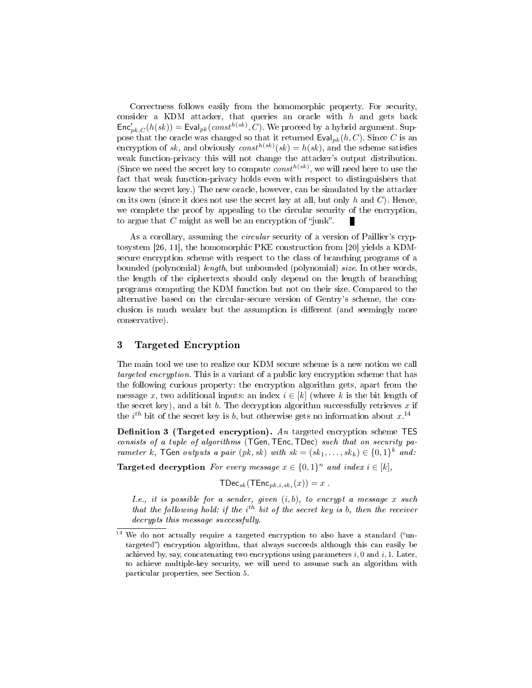Correctness follows easily from the homomorphic property. For security, consider a KDM attacker, that queries an oracle with  $h$  and gets back  $\mathsf{Enc}_{pk,C}'(h(sk)) = \mathsf{Eval}_{pk}(const^{h(sk)}, C$ ). We proceed by a hybrid argument. Suppose that the oracle was changed so that it returned  $\textsf{Eval}_{pk}(h, C)$ . Since C is an encryption of sk, and obviously  $const^{h(sk)}(sk) = h(sk)$ , and the scheme satisfies weak function-privacy this will not change the attacker's output distribution. (Since we need the secret key to compute  $const^{h(sk)}$ , we will need here to use the fact that weak function-privacy holds even with respect to distinguishers that know the secret key.) The new oracle, however, can be simulated by the attacker on its own (since it does not use the secret key at all, but only h and  $C$ ). Hence, we complete the proof by appealing to the circular security of the encryption, to argue that C might as well be an encryption of "junk".

As a corollary, assuming the *circular* security of a version of Paillier's cryptosystem [26, 11], the homomorphic PKE construction from [20] yields a KDMsecure encryption scheme with respect to the class of branching programs of a bounded (polynomial) length, but unbounded (polynomial) size. In other words, the length of the ciphertexts should only depend on the length of branching programs computing the KDM function but not on their size. Compared to the alternative based on the circular-secure version of Gentry's scheme, the conclusion is much weaker but the assumption is different (and seemingly more conservative).

### 3 Targeted Encryption

The main tool we use to realize our KDM secure scheme is a new notion we call targeted encryption. This is a variant of a public key encryption scheme that has the following curious property: the encryption algorithm gets, apart from the message x, two additional inputs: an index  $i \in [k]$  (where k is the bit length of the secret key), and a bit b. The decryption algorithm successfully retrieves  $x$  if the  $i^{th}$  bit of the secret key is b, but otherwise gets no information about  $x^{14}$ 

Definition 3 (Targeted encryption). An targeted encryption scheme TES consists of a tuple of algorithms (TGen,TEnc,TDec) such that on security parameter k, TGen outputs a pair  $(pk, sk)$  with  $sk = (sk_1, \ldots, sk_k) \in \{0, 1\}^k$  and:

**Targeted decryption** For every message  $x \in \{0,1\}^n$  and index  $i \in [k]$ ,

$$
\mathsf{TDec}_{sk}(\mathsf{TEnc}_{pk,i,sk_i}(x)) = x.
$$

I.e., it is possible for a sender, given  $(i, b)$ , to encrypt a message x such that the following hold: if the  $i<sup>th</sup>$  bit of the secret key is b, then the receiver decrypts this message successfully.

 $14$  We do not actually require a targeted encryption to also have a standard ("untargeted") encryption algorithm, that always succeeds although this can easily be achieved by, say, concatenating two encryptions using parameters  $i, 0$  and  $i, 1$ . Later, to achieve multiple-key security, we will need to assume such an algorithm with particular properties, see Section 5.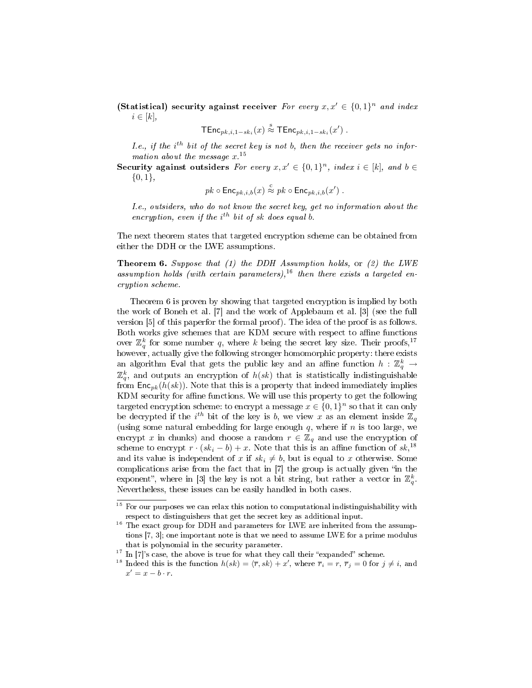(Statistical) security against receiver For every  $x, x' \in \{0, 1\}^n$  and index  $i \in [k],$ 

$$
\mathsf{TEnc}_{pk,i,1-sk_i}(x) \stackrel{\rm s}{\approx} \mathsf{TEnc}_{pk,i,1-sk_i}(x') .
$$

*I.e.*, if the  $i^{th}$  bit of the secret key is not b, then the receiver gets no information about the message  $x^{15}$ 

Security against outsiders For every  $x, x' \in \{0, 1\}^n$ , index  $i \in [k]$ , and  $b \in$  $\{0,1\},\$ 

$$
pk \circ \mathsf{Enc}_{pk,i,b}(x) \stackrel{c}{\approx} pk \circ \mathsf{Enc}_{pk,i,b}(x') .
$$

I.e., outsiders, who do not know the secret key, get no information about the encryption, even if the  $i^{th}$  bit of sk does equal b.

The next theorem states that targeted encryption scheme can be obtained from either the DDH or the LWE assumptions.

**Theorem 6.** Suppose that (1) the DDH Assumption holds, or (2) the LWE assumption holds (with certain parameters),<sup>16</sup> then there exists a targeted encryption scheme.

Theorem 6 is proven by showing that targeted encryption is implied by both the work of Boneh et al. [7] and the work of Applebaum et al. [3] (see the full version [5] of this paperfor the formal proof). The idea of the proof is as follows. Both works give schemes that are KDM secure with respect to affine functions over  $\mathbb{Z}_q^k$  for some number q, where k being the secret key size. Their proofs,<sup>17</sup> however, actually give the following stronger homomorphic property: there exists an algorithm Eval that gets the public key and an affine function  $h: \mathbb{Z}_q^k \to$  $\mathbb{Z}_q^k$ , and outputs an encryption of  $h(sk)$  that is statistically indistinguishable from  $\mathsf{Enc}_{pk}(h(sk))$ . Note that this is a property that indeed immediately implies KDM security for affine functions. We will use this property to get the following targeted encryption scheme: to encrypt a message  $x \in \{0,1\}^n$  so that it can only be decrypted if the  $i^{th}$  bit of the key is b, we view x as an element inside  $\mathbb{Z}_q$ (using some natural embedding for large enough  $q$ , where if  $n$  is too large, we encrypt x in chunks) and choose a random  $r \in \mathbb{Z}_q$  and use the encryption of scheme to encrypt  $r \cdot (sk_i - b) + x$ . Note that this is an affine function of  $sk_i$ <sup>18</sup> and its value is independent of x if  $sk_i \neq b$ , but is equal to x otherwise. Some complications arise from the fact that in  $[7]$  the group is actually given "in the exponent", where in [3] the key is not a bit string, but rather a vector in  $\mathbb{Z}_q^k$ . Nevertheless, these issues can be easily handled in both cases.

 $^{15}$  For our purposes we can relax this notion to computational indistinguishability with respect to distinguishers that get the secret key as additional input.

<sup>&</sup>lt;sup>16</sup> The exact group for DDH and parameters for LWE are inherited from the assumptions [7, 3]; one important note is that we need to assume LWE for a prime modulus that is polynomial in the security parameter.

 $17$  In [7]'s case, the above is true for what they call their "expanded" scheme.

<sup>&</sup>lt;sup>18</sup> Indeed this is the function  $h(sk) = \langle \overline{r}, sk \rangle + x'$ , where  $\overline{r}_i = r, \overline{r}_j = 0$  for  $j \neq i$ , and  $x' = x - b \cdot r$ .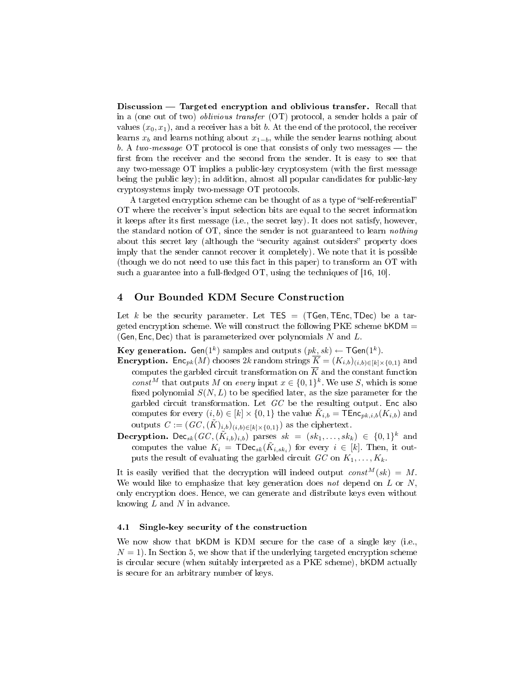Discussion — Targeted encryption and oblivious transfer. Recall that in a (one out of two) oblivious transfer (OT) protocol, a sender holds a pair of values  $(x_0, x_1)$ , and a receiver has a bit b. At the end of the protocol, the receiver learns  $x_b$  and learns nothing about  $x_{1-b}$ , while the sender learns nothing about b. A two-message OT protocol is one that consists of only two messages  $-$  the first from the receiver and the second from the sender. It is easy to see that any two-message OT implies a public-key cryptosystem (with the first message being the public key); in addition, almost all popular candidates for public-key cryptosystems imply two-message OT protocols.

A targeted encryption scheme can be thought of as a type of "self-referential" OT where the receiver's input selection bits are equal to the secret information it keeps after its first message (i.e., the secret key). It does not satisfy, however, the standard notion of  $\overline{OT}$ , since the sender is not guaranteed to learn *nothing* about this secret key (although the "security against outsiders" property does imply that the sender cannot recover it completely). We note that it is possible (though we do not need to use this fact in this paper) to transform an OT with such a guarantee into a full-fledged  $\overline{OT}$ , using the techniques of [16, 10].

### 4 Our Bounded KDM Secure Construction

Let k be the security parameter. Let  $TES = (TGen, TEnc, TDec)$  be a targeted encryption scheme. We will construct the following PKE scheme  $\mathsf{bKDM} =$ (Gen, Enc, Dec) that is parameterized over polynomials N and L.

**Key generation.** Gen(1<sup>k</sup>) samples and outputs  $(pk, sk) \leftarrow \mathsf{TGen}(1^k)$ .

- **Encryption.** Enc<sub>pk</sub>(M) chooses 2k random strings  $\overline{K} = (K_{i,b})_{(i,b)\in[k]\times\{0,1\}}$  and computes the garbled circuit transformation on  $\overline{K}$  and the constant function const<sup>M</sup> that outputs M on every input  $x \in \{0,1\}^k$ . We use S, which is some fixed polynomial  $S(N, L)$  to be specified later, as the size parameter for the garbled circuit transformation. Let  $GC$  be the resulting output. Enc also computes for every  $(i, b) \in [k] \times \{0, 1\}$  the value  $\tilde{K}_{i,b} = \tilde{\mathsf{TEnc}}_{pk, i,b}(K_{i,b})$  and outputs  $C := (GC, (K)_{i,b})_{(i,b)\in[k]\times\{0,1\}}$  as the ciphertext.
- Decryption. Dec<sub>sk</sub>  $(GC, (\tilde{K}_{i,b})_{i,b})$  parses  $sk = (sk_1, \ldots, sk_k) \in \{0,1\}^k$  and computes the value  $K_i = \textsf{TDec}_{sk}(\tilde{K}_{i,sk_i})$  for every  $i \in [k]$ . Then, it outputs the result of evaluating the garbled circuit  $GC$  on  $K_1, \ldots, K_k$ .

It is easily verified that the decryption will indeed output  $const^M(sk) = M$ . We would like to emphasize that key generation does not depend on  $L$  or  $N$ , only encryption does. Hence, we can generate and distribute keys even without knowing  $L$  and  $N$  in advance.

#### 4.1 Single-key security of the construction

We now show that **bKDM** is KDM secure for the case of a single key (i.e.,  $N = 1$ . In Section 5, we show that if the underlying targeted encryption scheme is circular secure (when suitably interpreted as a PKE scheme), bKDM actually is secure for an arbitrary number of keys.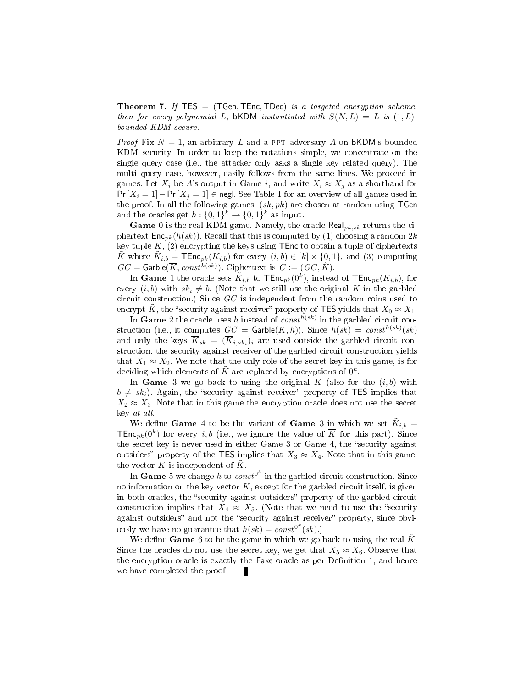**Theorem 7.** If  $TES = (TGen, TEnc, TDec)$  is a targeted encryption scheme, then for every polynomial L, bKDM instantiated with  $S(N, L) = L$  is  $(1, L)$ bounded KDM secure.

*Proof* Fix  $N = 1$ , an arbitrary L and a PPT adversary A on bKDM's bounded KDM security. In order to keep the notations simple, we concentrate on the single query case (i.e., the attacker only asks a single key related query). The multi query case, however, easily follows from the same lines. We proceed in games. Let  $X_i$  be A's output in Game i, and write  $X_i \approx X_j$  as a shorthand for  $Pr[X_i = 1] - Pr[X_i = 1] \in$  negl. See Table 1 for an overview of all games used in the proof. In all the following games,  $(sk, pk)$  are chosen at random using TGen and the oracles get  $h: \{0,1\}^k \to \{0,1\}^k$  as input.

**Game** 0 is the real KDM game. Namely, the oracle Real<sub>pk,sk</sub> returns the ciphertext  $\mathsf{Enc}_{nk}(h(sk))$ . Recall that this is computed by (1) choosing a random 2k key tuple  $\overline{K}$ , (2) encrypting the keys using TEnc to obtain a tuple of ciphertexts  $\tilde{K}$  where  $\tilde{K}_{i,b} = \textsf{TEnc}_{pk}(K_{i,b})$  for every  $(i,b) \in [k] \times \{0,1\}$ , and (3) computing  $GC =$  Garble( $\overline{K}$ , const<sup>h(sk)</sup>). Ciphertext is  $C := (GC, \tilde{K})$ .

In Game 1 the oracle sets  $\tilde{K}_{i,b}$  to  $\mathsf{TEnc}_{pk}(0^k)$ , instead of  $\mathsf{TEnc}_{pk}(K_{i,b})$ , for every  $(i, b)$  with  $sk_i \neq b$ . (Note that we still use the original  $\overline{K}$  in the garbled circuit construction.) Since GC is independent from the random coins used to encrypt K, the "security against receiver" property of TES yields that  $X_0 \approx X_1$ .

In Game 2 the oracle uses h instead of  $const^{h(sk)}$  in the garbled circuit construction (i.e., it computes  $GC = \mathsf{Garble}(\overline{K},h)$ ). Since  $h(sk) = \mathit{const}^{h(sk)}(sk)$ and only the keys  $K_{sk} = (K_{i,sk_i})_i$  are used outside the garbled circuit construction, the security against receiver of the garbled circuit construction yields that  $X_1 \approx X_2$ . We note that the only role of the secret key in this game, is for deciding which elements of  $\tilde{K}$  are replaced by encryptions of  $0^k$ .

In Game 3 we go back to using the original K (also for the  $(i, b)$  with  $b \neq sk_i$ ). Again, the "security against receiver" property of TES implies that  $X_2 \approx X_3$ . Note that in this game the encryption oracle does not use the secret key at all.

We define Game 4 to be the variant of Game 3 in which we set  $\tilde{K}_{i,b} =$ **TEnc**<sub>pk</sub>(0<sup>k</sup>) for every *i*, *b* (i.e., we ignore the value of  $\overline{K}$  for this part). Since the secret key is never used in either Game  $3$  or Game  $4$ , the "security against outsiders" property of the TES implies that  $X_3 \approx X_4$ . Note that in this game, the vector  $\overline{K}$  is independent of  $\overline{K}$ .

In  $\bf{Game}\;$  5 we change  $h$  to  $\it const^{0^k}$  in the garbled circuit construction. Since no information on the key vector  $\overline{K}$ , except for the garbled circuit itself, is given in both oracles, the "security against outsiders" property of the garbled circuit construction implies that  $X_4 \approx X_5$ . (Note that we need to use the "security") against outsiders" and not the "security against receiver" property, since obviously we have no guarantee that  $h(sk) = const^{0^k}(sk)$ .)

We define Game 6 to be the game in which we go back to using the real  $\tilde{K}$ . Since the oracles do not use the secret key, we get that  $X_5 \approx X_6$ . Observe that the encryption oracle is exactly the Fake oracle as per Definition 1, and hence we have completed the proof.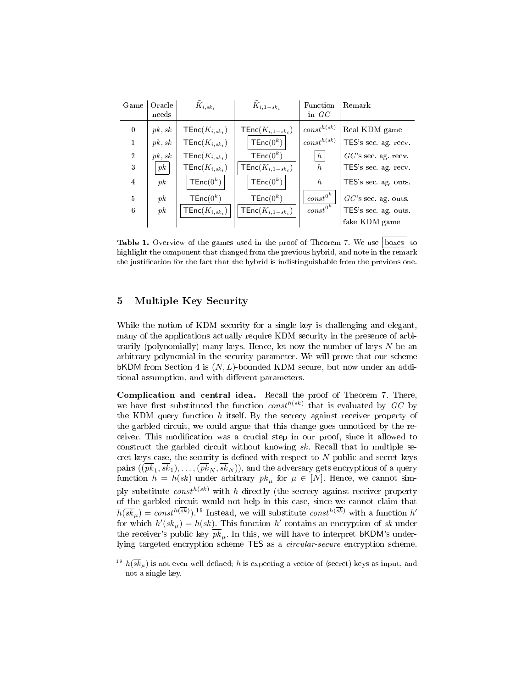| Game           | Oracle | $\tilde{K}_{i,sk_i}$        | $K_{i,1-sk_i}$                | Function                 | Remark                 |
|----------------|--------|-----------------------------|-------------------------------|--------------------------|------------------------|
|                | needs  |                             |                               | in $GC$                  |                        |
| $\theta$       | pk, sk | $\mathsf{TEnc}(K_{i,sk_i})$ | $\mathsf{TEnc}(K_{i,1-sk_i})$ | $const^{h(sk)}$          | Real KDM game          |
| $\mathbf{1}$   | pk, sk | $\mathsf{TEnc}(K_{i,sk_i})$ | $\mathsf{TEnc}(0^k)$          | $const^{h(sk)}$          | TES's sec. ag. recv.   |
| $\overline{2}$ | pk, sk | $\mathsf{TEnc}(K_{i,sk_i})$ | $\mathsf{TEnc}(0^k)$          | h                        | $GC$ 's sec. ag. recv. |
| 3              | pk     | $\mathsf{TEnc}(K_{i,sk_i})$ | $\mathsf{TEnc}(K_{i,1-sk_i})$ | $\boldsymbol{h}$         | TES's sec. ag. recv.   |
| 4              | p k    | $\mathsf{TEnc}(0^k)$        | $\mathsf{TEnc}(0^k)$          | $\hbar$                  | TES's sec. ag. outs.   |
| 5              | p k    | $\mathsf{TEnc}(0^k)$        | $\mathsf{TEnc}(0^k)$          | $const^{0^k}$            | $GC$ 's sec. ag. outs. |
| 6              | p k    | $\mathsf{TEnc}(K_{i,sk_i})$ | $\mathsf{TEnc}(K_{i,1-sk_i})$ | $const^{\overline{0^k}}$ | TES's sec. ag. outs.   |
|                |        |                             |                               |                          | fake KDM game          |

**Table 1.** Overview of the games used in the proof of Theorem 7. We use boxes to highlight the component that changed from the previous hybrid, and note in the remark the justification for the fact that the hybrid is indistinguishable from the previous one.

# 5 Multiple Key Security

While the notion of KDM security for a single key is challenging and elegant, many of the applications actually require KDM security in the presence of arbitrarily (polynomially) many keys. Hence, let now the number of keys  $N$  be an arbitrary polynomial in the security parameter. We will prove that our scheme **bKDM** from Section 4 is  $(N, L)$ -bounded KDM secure, but now under an additional assumption, and with different parameters.

Complication and central idea. Recall the proof of Theorem 7. There, we have first substituted the function  $const^{h(sk)}$  that is evaluated by GC by the KDM query function  $h$  itself. By the secrecy against receiver property of the garbled circuit, we could argue that this change goes unnoticed by the receiver. This modification was a crucial step in our proof, since it allowed to construct the garbled circuit without knowing sk. Recall that in multiple secret keys case, the security is defined with respect to  $N$  public and secret keys pairs  $((pk_1, sk_1), \ldots, (pk_N, sk_N)),$  and the adversary gets encryptions of a query function  $h = h(\overline{sk})$  under arbitrary  $p k_{\mu}$  for  $\mu \in [N]$ . Hence, we cannot simply substitute  $const^{h(\overline{sk})}$  with h directly (the secrecy against receiver property of the garbled circuit would not help in this case, since we cannot claim that  $h(\overline{sk}_{\mu}) = const^{h(\overline{sk})}$ <sup>19</sup> Instead, we will substitute  $const^{h(\overline{sk})}$  with a function h' for which  $h'(\overline{sk}_{\mu}) = h(\overline{sk})$ . This function  $h'$  contains an encryption of  $\overline{sk}$  under the receiver's public key  $pk_{\mu}$ . In this, we will have to interpret **bKDM**'s underlying targeted encryption scheme TES as a *circular-secure* encryption scheme.

<sup>&</sup>lt;sup>19</sup>  $h(\overline{sk}_{\mu})$  is not even well defined; h is expecting a vector of (secret) keys as input, and not a single key.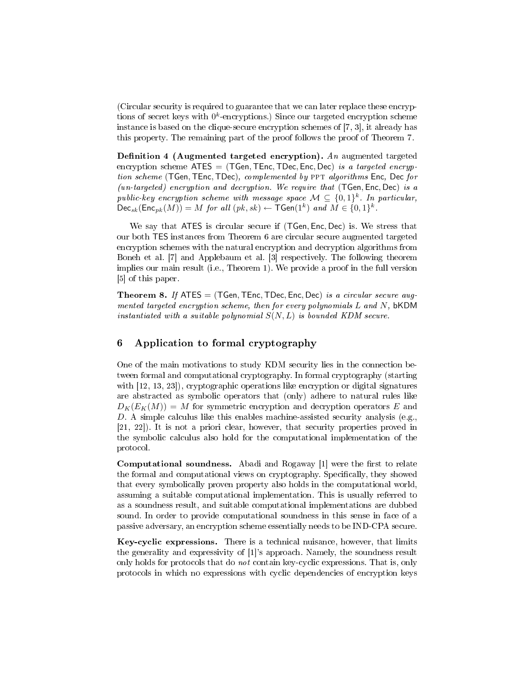(Circular security is required to guarantee that we can later replace these encryptions of secret keys with  $0^k$ -encryptions.) Since our targeted encryption scheme instance is based on the clique-secure encryption schemes of [7, 3], it already has this property. The remaining part of the proof follows the proof of Theorem 7.

Definition 4 (Augmented targeted encryption). An augmented targeted encryption scheme  $ATES = (TGen, TEnc, TDec, Enc, Dec)$  is a targeted encryption scheme (TGen, TEnc, TDec), complemented by PPT algorithms Enc, Dec for (un-targeted) encryption and decryption. We require that  $(TGen, Enc, Dec)$  is a public-key encryption scheme with message space  $\mathcal{M} \subseteq \{0,1\}^k$ . In particular,  $\mathsf{Dec}_{sk}(\mathsf{Enc}_{pk}(M)) = M$  for all  $(pk, sk) \leftarrow \mathsf{TGen}(1^k)$  and  $M \in \{0, 1\}^k$ .

We say that ATES is circular secure if (TGen, Enc, Dec) is. We stress that our both TES instances from Theorem 6 are circular secure augmented targeted encryption schemes with the natural encryption and decryption algorithms from Boneh et al. [7] and Applebaum et al. [3] respectively. The following theorem implies our main result (i.e., Theorem 1). We provide a proof in the full version [5] of this paper.

Theorem 8. If  $ATES = (TGen, TEnc, TDec, Enc, Dec)$  is a circular secure augmented targeted encryption scheme, then for every polynomials L and N, bKDM instantiated with a suitable polynomial  $S(N, L)$  is bounded KDM secure.

# 6 Application to formal cryptography

One of the main motivations to study KDM security lies in the connection between formal and computational cryptography. In formal cryptography (starting with  $[12, 13, 23]$ , cryptographic operations like encryption or digital signatures are abstracted as symbolic operators that (only) adhere to natural rules like  $D_K(E_K(M)) = M$  for symmetric encryption and decryption operators E and D. A simple calculus like this enables machine-assisted security analysis (e.g., [21, 22]). It is not a priori clear, however, that security properties proved in the symbolic calculus also hold for the computational implementation of the protocol.

Computational soundness. Abadi and Rogaway [1] were the first to relate the formal and computational views on cryptography. Specifically, they showed that every symbolically proven property also holds in the computational world, assuming a suitable computational implementation. This is usually referred to as a soundness result, and suitable computational implementations are dubbed sound. In order to provide computational soundness in this sense in face of a passive adversary, an encryption scheme essentially needs to be IND-CPA secure.

Key-cyclic expressions. There is a technical nuisance, however, that limits the generality and expressivity of [1]'s approach. Namely, the soundness result only holds for protocols that do not contain key-cyclic expressions. That is, only protocols in which no expressions with cyclic dependencies of encryption keys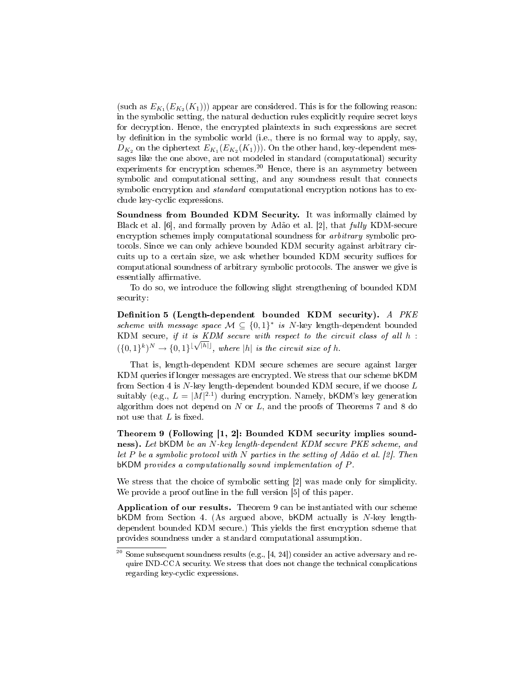(such as  $E_{K_1}(E_{K_2}(K_1))$ ) appear are considered. This is for the following reason: in the symbolic setting, the natural deduction rules explicitly require secret keys for decryption. Hence, the encrypted plaintexts in such expressions are secret by definition in the symbolic world (i.e., there is no formal way to apply, say,  $D_{K_2}$  on the ciphertext  $E_{K_1}(E_{K_2}(K_1)))$ . On the other hand, key-dependent messages like the one above, are not modeled in standard (computational) security experiments for encryption schemes.<sup>20</sup> Hence, there is an asymmetry between symbolic and computational setting, and any soundness result that connects symbolic encryption and standard computational encryption notions has to exclude key-cyclic expressions.

Soundness from Bounded KDM Security. It was informally claimed by Black et al. [6], and formally proven by Adão et al. [2], that fully KDM-secure encryption schemes imply computational soundness for arbitrary symbolic protocols. Since we can only achieve bounded KDM security against arbitrary circuits up to a certain size, we ask whether bounded KDM security suffices for computational soundness of arbitrary symbolic protocols. The answer we give is essentially affirmative.

To do so, we introduce the following slight strengthening of bounded KDM security:

Definition 5 (Length-dependent bounded KDM security). A PKE scheme with message space  $\mathcal{M} \subseteq \{0,1\}^*$  is N-key length-dependent bounded KDM secure, if it is KDM secure with respect to the circuit class of all  $h$ :  $({0,1}<sup>k</sup>)<sup>N</sup> \rightarrow {0,1}<sup>l</sup> \vee<sup>|h|</sup>$ , where |h| is the circuit size of h.

That is, length-dependent KDM secure schemes are secure against larger KDM queries if longer messages are encrypted. We stress that our scheme bKDM from Section 4 is  $N$ -key length-dependent bounded KDM secure, if we choose  $L$ suitably (e.g.,  $L = |M|^{2.1}$ ) during encryption. Namely, bKDM's key generation algorithm does not depend on  $N$  or  $L$ , and the proofs of Theorems 7 and 8 do not use that  $L$  is fixed.

Theorem 9 (Following [1, 2]: Bounded KDM security implies soundness). Let bKDM be an N-key length-dependent KDM secure PKE scheme, and let P be a symbolic protocol with N parties in the setting of  $Ad\tilde{a}$  o et al. [2]. Then bKDM provides a computationally sound implementation of P.

We stress that the choice of symbolic setting [2] was made only for simplicity. We provide a proof outline in the full version [5] of this paper.

Application of our results. Theorem 9 can be instantiated with our scheme bKDM from Section 4. (As argued above, bKDM actually is N-key lengthdependent bounded KDM secure.) This yields the first encryption scheme that provides soundness under a standard computational assumption.

 $20$  Some subsequent soundness results (e.g., [4, 24]) consider an active adversary and require IND-CCA security. We stress that does not change the technical complications regarding key-cyclic expressions.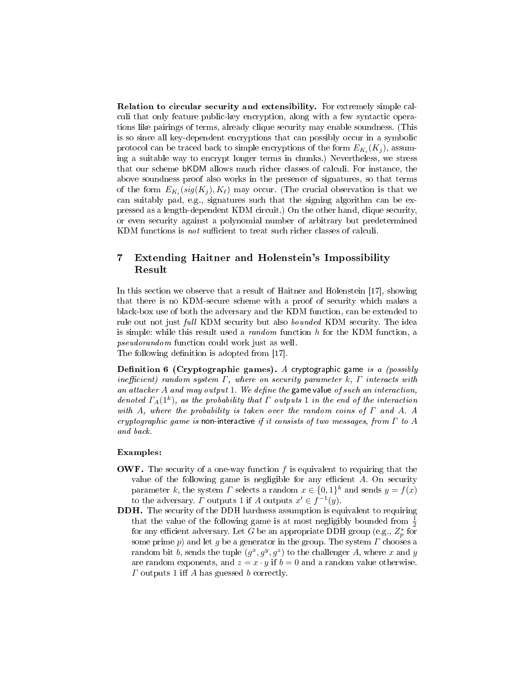Relation to circular security and extensibility. For extremely simple calculi that only feature public-key encryption, along with a few syntactic operations like pairings of terms, already clique security may enable soundness. (This is so since all key-dependent encryptions that can possibly occur in a symbolic protocol can be traced back to simple encryptions of the form  $E_{K_i}(K_j),$  assuming a suitable way to encrypt longer terms in chunks.) Nevertheless, we stress that our scheme bKDM allows much richer classes of calculi. For instance, the above soundness proof also works in the presence of signatures, so that terms of the form  $E_{K_i}(sig(K_j), K_{\ell})$  may occur. (The crucial observation is that we can suitably pad, e.g., signatures such that the signing algorithm can be expressed as a length-dependent KDM circuit.) On the other hand, clique security, or even security against a polynomial number of arbitrary but predetermined KDM functions is *not* sufficient to treat such richer classes of calculi.

# 7 Extending Haitner and Holenstein's Impossibility Result

In this section we observe that a result of Haitner and Holenstein [17], showing that there is no KDM-secure scheme with a proof of security which makes a black-box use of both the adversary and the KDM function, can be extended to rule out not just full KDM security but also *bounded* KDM security. The idea is simple: while this result used a *random* function h for the KDM function, a pseudorandom function could work just as well.

The following definition is adopted from [17].

**Definition 6 (Cryptographic games).** A cryptographic game is a (possibly inefficient) random system  $\Gamma$ , where on security parameter k,  $\Gamma$  interacts with an attacker  $A$  and may output 1. We define the game value of such an interaction, denoted  $\Gamma_A(1^k)$ , as the probability that  $\Gamma$  outputs 1 in the end of the interaction with A, where the probability is taken over the random coins of  $\Gamma$  and A. A cryptographic game is non-interactive if it consists of two messages, from  $\Gamma$  to A and back.

#### Examples:

- **OWF.** The security of a one-way function  $f$  is equivalent to requiring that the value of the following game is negligible for any efficient  $A$ . On security parameter k, the system  $\Gamma$  selects a random  $x \in \{0,1\}^k$  and sends  $y = f(x)$ to the adversary.  $\Gamma$  outputs 1 if  $A$  outputs  $x' \in f^{-1}(y)$ .
- DDH. The security of the DDH hardness assumption is equivalent to requiring that the value of the following game is at most negligibly bounded from  $\frac{1}{2}$ for any efficient adversary. Let  $G$  be an appropriate DDH group (e.g.,  $Z_p^*$  for some prime p) and let g be a generator in the group. The system  $\Gamma$  chooses a random bit b, sends the tuple  $(g^x, g^y, g^z)$  to the challenger A, where x and y are random exponents, and  $z = x \cdot y$  if  $b = 0$  and a random value otherwise.  $\Gamma$  outputs 1 iff  $\Lambda$  has guessed b correctly.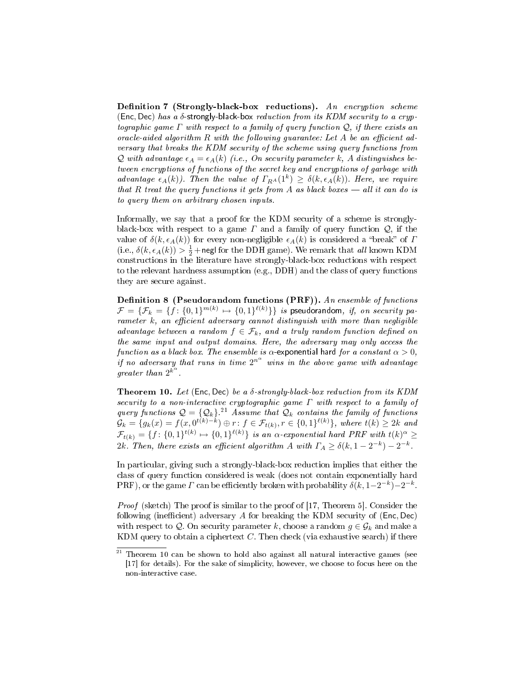Definition 7 (Strongly-black-box reductions). An encryption scheme (Enc, Dec) has a  $\delta$ -strongly-black-box reduction from its KDM security to a cryptographic game  $\Gamma$  with respect to a family of query function  $\mathcal{Q}$ , if there exists an oracle-aided algorithm  $R$  with the following guarantee: Let  $A$  be an efficient adversary that breaks the KDM security of the scheme using query functions from Q with advantage  $\epsilon_A = \epsilon_A(k)$  (i.e., On security parameter k, A distinguishes between encryptions of functions of the secret key and encryptions of garbage with advantage  $\epsilon_A(k)$ ). Then the value of  $\Gamma_{R^A}(1^k) \geq \delta(k, \epsilon_A(k))$ . Here, we require that R treat the query functions it gets from A as black boxes  $-$  all it can do is to query them on arbitrary chosen inputs.

Informally, we say that a proof for the KDM security of a scheme is stronglyblack-box with respect to a game  $\Gamma$  and a family of query function  $\mathcal{Q}$ , if the value of  $\delta(k, \epsilon_A(k))$  for every non-negligible  $\epsilon_A(k)$  is considered a "break" of  $\Gamma$ (i.e.,  $\delta(k, \epsilon_A(k)) > \frac{1}{2} +$ negl for the DDH game). We remark that *all* known KDM constructions in the literature have strongly-black-box reductions with respect to the relevant hardness assumption (e.g., DDH) and the class of query functions they are secure against.

Definition 8 (Pseudorandom functions  $(PRF)$ ). An ensemble of functions  $\mathcal{F}=\{\mathcal{F}_k=\{f\colon\{0,1\}^{m(k)}\mapsto\{0,1\}^{\ell(k)}\}\}$  is pseudorandom, if, on security pa $rameter\ k,$  an efficient adversary cannot distinguish with more than negligible advantage between a random  $f \in \mathcal{F}_k$ , and a truly random function defined on the same input and output domains. Here, the adversary may only access the function as a black box. The ensemble is  $\alpha$ -exponential hard for a constant  $\alpha > 0$ , if no adversary that runs in time  $2^{n^{\alpha}}$  wins in the above game with advantage greater than  $2^{k^{\alpha}}$ .

**Theorem 10.** Let (Enc, Dec) be a  $\delta$ -strongly-black-box reduction from its KDM security to a non-interactive cryptographic game Γ with respect to a family of query functions  $\mathcal{Q} = \{ \mathcal{Q}_k \}$  <sup>21</sup> Assume that  $\mathcal{Q}_k$  contains the family of functions  $\mathcal{G}_k = \{g_k(x) = f(x, 0^{t(k)-k}) \oplus r : f \in \mathcal{F}_{t(k)}, r \in \{0, 1\}^{\ell(k)}\}, \text{ where } t(k) \geq 2k \text{ and }$  $\mathcal{F}_{t(k)}=\{f\colon\{0,1\}^{t(k)}\mapsto\{0,1\}^{\ell(k)}\}$  is an  $\alpha$ -exponential hard PRF with  $t(k)^\alpha\geq$ 2k. Then, there exists an efficient algorithm A with  $\Gamma_A \geq \delta(k, 1-2^{-k})-2^{-k}$ .

In particular, giving such a strongly-black-box reduction implies that either the class of query function considered is weak (does not contain exponentially hard PRF), or the game  $\Gamma$  can be efficiently broken with probability  $\delta(k, 1-2^{-k})-2^{-k}$ .

Proof (sketch) The proof is similar to the proof of [17, Theorem 5]. Consider the following (inefficient) adversary  $\vec{A}$  for breaking the KDM security of (Enc, Dec) with respect to Q. On security parameter k, choose a random  $g \in \mathcal{G}_k$  and make a KDM query to obtain a ciphertext  $C$ . Then check (via exhaustive search) if there

 $21$  Theorem 10 can be shown to hold also against all natural interactive games (see [17] for details). For the sake of simplicity, however, we choose to focus here on the non-interactive case.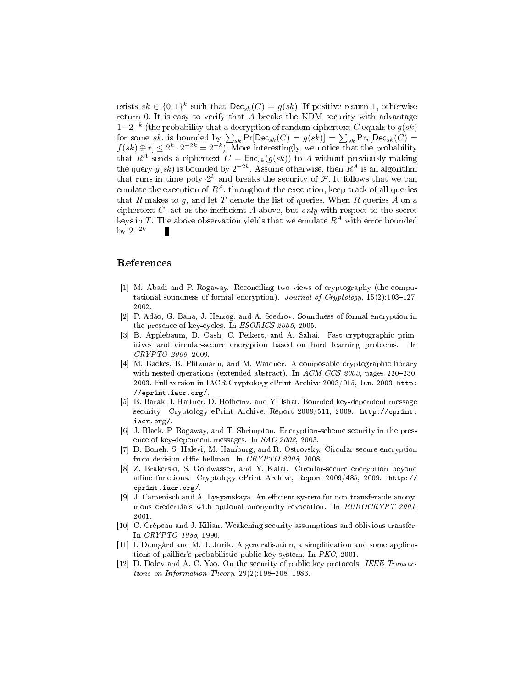exists  $sk \in \{0,1\}^k$  such that  $\mathsf{Dec}_{sk}(C) = g(sk)$ . If positive return 1, otherwise return 0. It is easy to verify that  $A$  breaks the KDM security with advantage  $1-2^{-k}$  (the probability that a decryption of random ciphertext C equals to  $g(sk)$ for some sk, is bounded by  $\sum_{sk} Pr[Dec_{sk}(C) = g(sk)] = \sum_{sk} Pr_r[Dec_{sk}(C) =$  $f(sk) \oplus r \leq 2^k \cdot 2^{-2k} = 2^{-k}$ ). More interestingly, we notice that the probability that  $R^A$  sends a ciphertext  $C = \mathsf{Enc}_{sk}(g(k))$  to A without previously making the query  $g(sk)$  is bounded by  $2^{-2k}$ . Assume otherwise, then  $R^A$  is an algorithm that runs in time poly  $2^k$  and breaks the security of  $\mathcal F$ . It follows that we can emulate the execution of  $R^A$ : throughout the execution, keep track of all queries that R makes to g, and let T denote the list of queries. When R queries A on a ciphertext  $C$ , act as the inefficient  $A$  above, but only with respect to the secret keys in T. The above observation yields that we emulate  $R^A$  with error bounded by  $2^{-2k}$ .

## References

- [1] M. Abadi and P. Rogaway. Reconciling two views of cryptography (the computational soundness of formal encryption). Journal of Cryptology,  $15(2):103-127$ , 2002.
- [2] P. Adão, G. Bana, J. Herzog, and A. Scedrov. Soundness of formal encryption in the presence of key-cycles. In ESORICS 2005, 2005.
- [3] B. Applebaum, D. Cash, C. Peikert, and A. Sahai. Fast cryptographic primitives and circular-secure encryption based on hard learning problems. In CRYPTO 2009, 2009.
- [4] M. Backes, B. Ptzmann, and M. Waidner. A composable cryptographic library with nested operations (extended abstract). In ACM CCS 2003, pages  $220-230$ , 2003. Full version in IACR Cryptology ePrint Archive 2003/015, Jan. 2003, http: //eprint.iacr.org/.
- [5] B. Barak, I. Haitner, D. Hofheinz, and Y. Ishai. Bounded key-dependent message security. Cryptology ePrint Archive, Report 2009/511, 2009. http://eprint. iacr.org/.
- [6] J. Black, P. Rogaway, and T. Shrimpton. Encryption-scheme security in the presence of key-dependent messages. In SAC 2002, 2003.
- [7] D. Boneh, S. Halevi, M. Hamburg, and R. Ostrovsky. Circular-secure encryption from decision diffie-hellman. In CRYPTO 2008, 2008.
- [8] Z. Brakerski, S. Goldwasser, and Y. Kalai. Circular-secure encryption beyond affine functions. Cryptology ePrint Archive, Report 2009/485, 2009. http:// eprint.iacr.org/.
- [9] J. Camenisch and A. Lysyanskaya. An efficient system for non-transferable anonymous credentials with optional anonymity revocation. In EUROCRYPT 2001, 2001.
- [10] C. Crépeau and J. Kilian. Weakening security assumptions and oblivious transfer. In CRYPTO 1988, 1990.
- [11] I. Damgård and M. J. Jurik. A generalisation, a simplication and some applications of paillier's probabilistic public-key system. In PKC, 2001.
- [12] D. Dolev and A. C. Yao. On the security of public key protocols. IEEE Transactions on Information Theory,  $29(2):198-208$ , 1983.